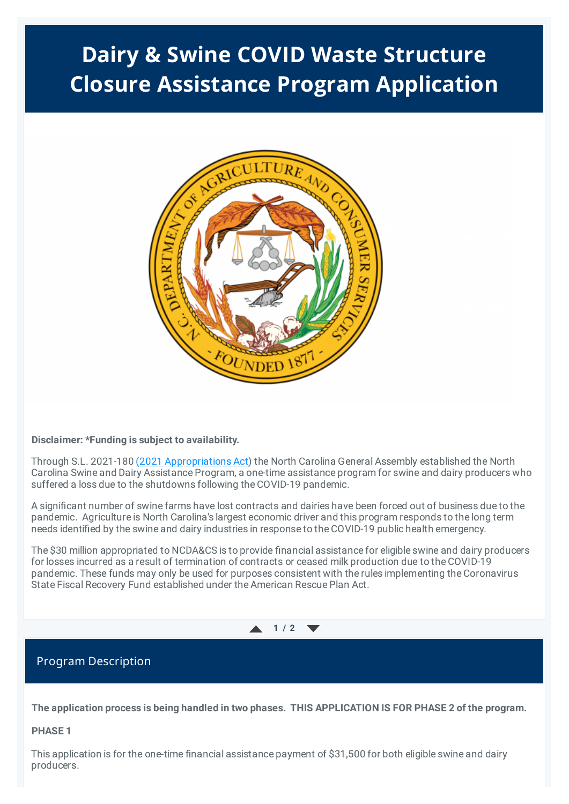# **Dairy & Swine COVID Waste Structure Closure Assistance Program Application**



### **Disclaimer: \*Funding is subject to availability.**

Through S.L. 2021-180 (2021 [Appropriations](https://www.ncleg.gov/Sessions/2021/Bills/Senate/PDF/S105v8.pdf) Act) the North Carolina General Assembly established the North Carolina Swine and Dairy Assistance Program, a one-time assistance program for swine and dairy producers who suffered a loss due to the shutdowns following the COVID-19 pandemic.

A significant number of swine farms have lost contracts and dairies have been forced out of business due to the pandemic. Agriculture is North Carolina's largest economic driver and this program responds to the long term needs identified by the swine and dairy industries in response to the COVID-19 public health emergency.

The \$30 million appropriated to NCDA&CS is to provide financial assistance for eligible swine and dairy producers for losses incurred as a result of termination of contracts or ceased milk production due to the COVID-19 pandemic. These funds may only be used for purposes consistent with the rules implementing the Coronavirus State Fiscal Recovery Fund established under the American Rescue Plan Act.



### Program Description

The application process is being handled in two phases. THIS APPLICATION IS FOR PHASE 2 of the program.

### **PHASE 1**

This application is for the one-time financial assistance payment of \$31,500 for both eligible swine and dairy producers.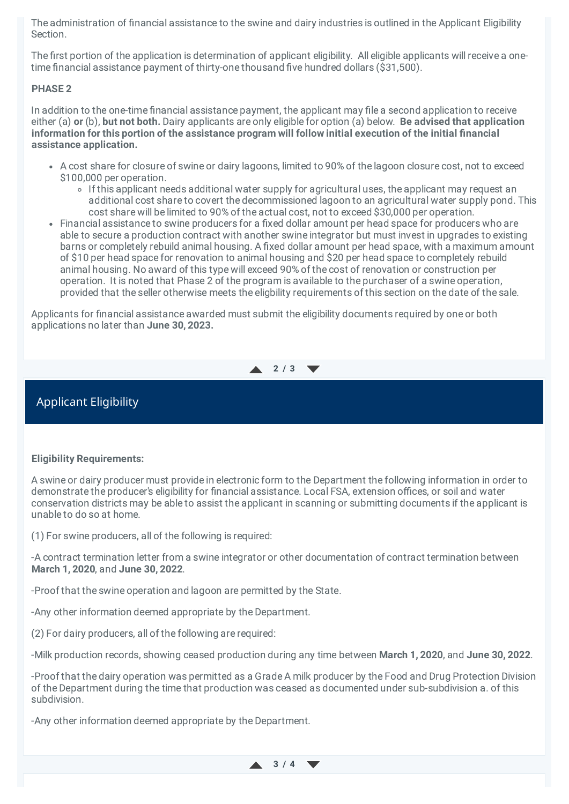The administration of financial assistance to the swine and dairy industries is outlined in the Applicant Eligibility Section.

The first portion of the application is determination of applicant eligibility. All eligible applicants will receive a onetime financial assistance payment of thirty-one thousand five hundred dollars (\$31,500).

### **PHASE 2**

In addition to the one-time financial assistance payment, the applicant may file a second application to receive either (a) **or** (b), **but not both.** Dairy applicants are only eligible for option (a) below. **Be advised that application information for this portion of the assistance program will follow initial execution of the initial financial assistance application.**

- A cost share for closure of swine or dairy lagoons, limited to 90% of the lagoon closure cost, not to exceed \$100,000 per operation.
	- If this applicant needs additional water supply for agricultural uses, the applicant may request an additional cost share to covert the decommissioned lagoon to an agricultural water supply pond. This cost share will be limited to 90% of the actual cost, not to exceed \$30,000 per operation.
- Financial assistance to swine producers for a fixed dollar amount per head space for producers who are able to secure a production contract with another swine integrator but must invest in upgrades to existing barns or completely rebuild animal housing. A fixed dollar amount per head space, with a maximum amount of \$10 per head space for renovation to animal housing and \$20 per head space to completely rebuild animal housing. No award of this type will exceed 90% of the cost of renovation or construction per operation. It is noted that Phase 2 of the program is available to the purchaser of a swine operation, provided that the seller otherwise meets the eligbility requirements of this section on the date of the sale.

Applicants for financial assistance awarded must submit the eligibility documents required by one or both applications no later than **June 30, 2023.**

### **2 / 3**

### Applicant Eligibility

### **Eligibility Requirements:**

A swine or dairy producer must provide in electronic form to the Department the following information in order to demonstrate the producer's eligibility for financial assistance. Local FSA, extension offices, or soil and water conservation districts may be able to assist the applicant in scanning or submitting documents if the applicant is unable to do so at home.

(1) For swine producers, all of the following is required:

-A contract termination letter from a swine integrator or other documentation of contract termination between **March 1, 2020**, and **June 30, 2022**.

-Proof that the swine operation and lagoon are permitted by the State.

-Any other information deemed appropriate by the Department.

(2) For dairy producers, all of the following are required:

-Milk production records, showing ceased production during any time between **March 1, 2020**, and **June 30, 2022**.

-Proof that the dairy operation was permitted as a Grade A milk producer by the Food and Drug Protection Division of the Department during the time that production was ceased as documented under sub-subdivision a. of this subdivision.

-Any other information deemed appropriate by the Department.

**3 / 4**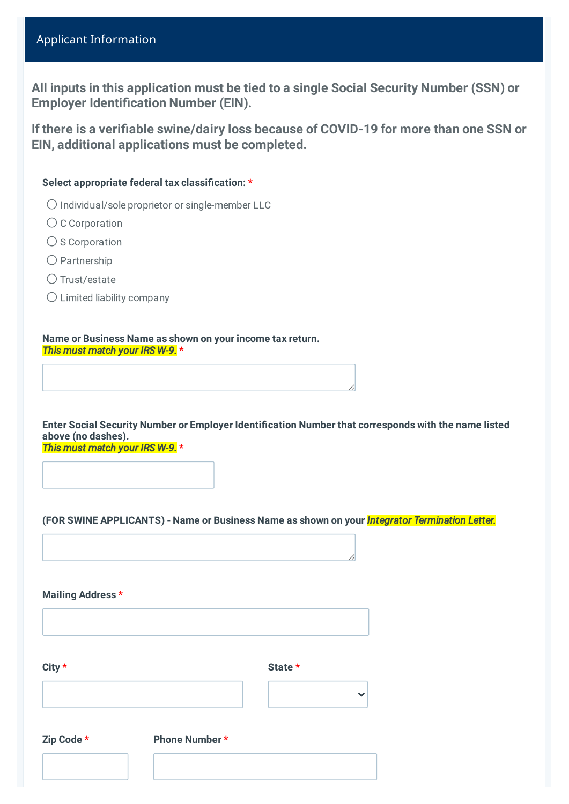# Applicant Information

**All inputs in this application must be tied to a single Social Security Number (SSN) or Employer Identification Number (EIN).**

**If there is a verifiable swine/dairy loss because of COVID-19 for more than one SSN or EIN, additional applications must be completed.**

### **Select appropriate federal tax classification: \***

- ⚪ Individual/sole proprietor or single-member LLC
- C Corporation
- $\bigcirc$  S Corporation
- ⚪ Partnership
- Trust/estate
- $\bigcirc$  Limited liability company

**Name or Business Name as shown on your income tax return.** *This must match your IRS W-9.* **\***

**Enter Social Security Number or Employer Identification Number that corresponds with the name listed above (no dashes).** *This must match your IRS W-9.* **\***

**(FOR SWINE APPLICANTS) - Name or Business Name as shown on your** *Integrator Termination Letter.*

**Mailing Address \***

| City *     |                      | State * |
|------------|----------------------|---------|
|            |                      | w       |
| Zip Code * | <b>Phone Number*</b> |         |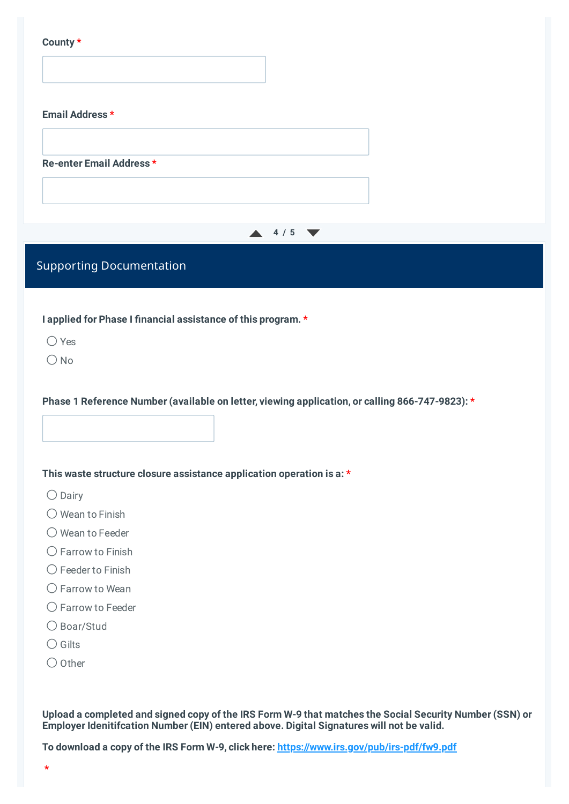#### **County \***

| Email Address *          |  |
|--------------------------|--|
| Re-enter Email Address * |  |
|                          |  |



## Supporting Documentation

**I applied for Phase I financial assistance of this program. \***

 $\bigcap$  Yes

 $\bigcap$  No

**Phase 1 Reference Number (available on letter, viewing application, or calling 866-747-9823): \***

#### **This waste structure closure assistance application operation is a: \***

- $\bigcirc$  Dairy
- $\bigcirc$  Wean to Finish
- O Wean to Feeder
- ⚪ Farrow to Finish
- $\bigcirc$  Feeder to Finish
- $\bigcirc$  Farrow to Wean
- ⚪ Farrow to Feeder
- ⚪ Boar/Stud
- $\bigcirc$  Gilts
- $\bigcirc$  Other

Upload a completed and signed copy of the IRS Form W-9 that matches the Social Security Number (SSN) or **Employer Idenitifcation Number (EIN) entered above. Digital Signatures will not be valid.**

**To download a copy of the IRS Form W-9, click here: <https://www.irs.gov/pub/irs-pdf/fw9.pdf>**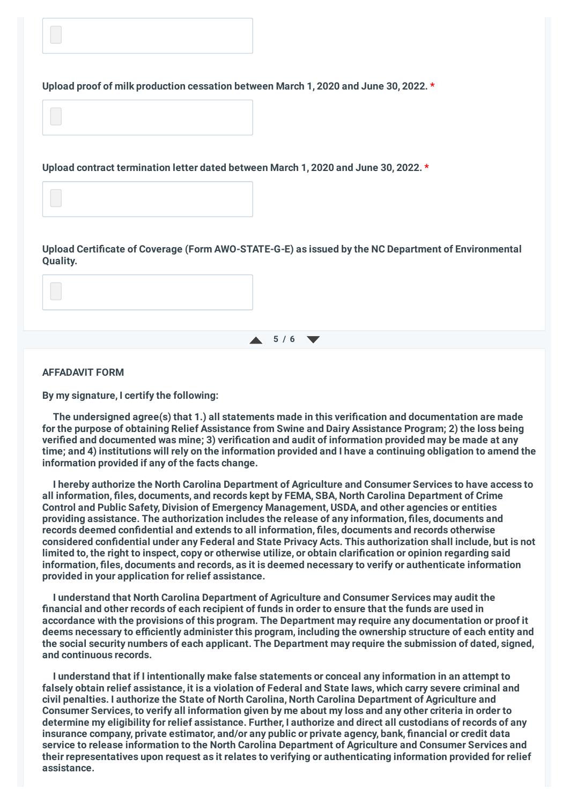

**Upload contract termination letter dated between March 1, 2020 and June 30, 2022. \***

**Upload Certificate of Coverage (Form AWO-STATE-G-E) as issued by the NC Department of Environmental Quality.**

### **5 / 6**

### **AFFADAVIT FORM**

**By my signature, I certify the following:**

**The undersigned agree(s) that 1.) all statements made in this verification and documentation are made for the purpose of obtaining Relief Assistance from Swine and Dairy Assistance Program; 2) the loss being verified and documented was mine; 3) verification and audit of information provided may be made at any** time; and 4) institutions will rely on the information provided and I have a continuing obligation to amend the **information provided if any of the facts change.**

**I hereby authorize the North Carolina Department of Agriculture and Consumer Services to have access to all information, files, documents, and records kept by FEMA, SBA, North Carolina Department of Crime Control and Public Safety, Division of Emergency Management, USDA, and other agencies or entities providing assistance. The authorization includes the release of any information, files, documents and records deemed confidential and extends to all information, files, documents and records otherwise considered confidential under any Federal and State Privacy Acts. This authorization shall include, but is not** limited to, the right to inspect, copy or otherwise utilize, or obtain clarification or opinion regarding said **information, files, documents and records, as it is deemed necessary to verify or authenticate information provided in your application for relief assistance.**

**I understand that North Carolina Department of Agriculture and Consumer Services may audit the** financial and other records of each recipient of funds in order to ensure that the funds are used in **accordance with the provisions of this program. The Department may require any documentation or proof it deems necessary to efficiently administer this program, including the ownership structure of each entity and the social security numbers of each applicant. The Department may require the submission of dated, signed, and continuous records.**

**I understand that if I intentionally make false statements or conceal any information in an attempt to** falsely obtain relief assistance, it is a violation of Federal and State laws, which carry severe criminal and **civil penalties. I authorize the State of North Carolina, North Carolina Department of Agriculture and** Consumer Services, to verify all information given by me about my loss and any other criteria in order to determine my eligibility for relief assistance. Further, I authorize and direct all custodians of records of any **insurance company, private estimator, and/or any public or private agency, bank, financial or credit data service to release information to the North Carolina Department of Agriculture and Consumer Services and their representatives upon request as it relates to verifying or authenticating information provided for relief assistance.**